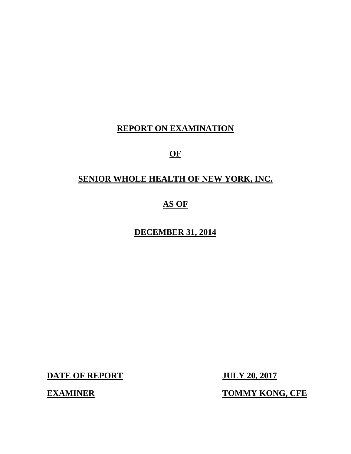# **REPORT ON EXAMINATION**

# **OF**

# **SENIOR WHOLE HEALTH OF NEW YORK, INC.**

# **AS OF**

# **DECEMBER 31, 2014**

**DATE OF REPORT JULY 20, 2017** 

**EXAMINER TOMMY KONG, CFE**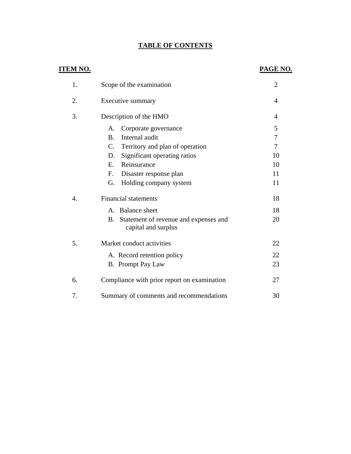# **TABLE OF CONTENTS**

# **ITEM NO.**

# **PAGE NO.**

| 1. | Scope of the examination                                           | $\overline{2}$ |
|----|--------------------------------------------------------------------|----------------|
| 2. | Executive summary                                                  | 4              |
| 3. | Description of the HMO                                             | 4              |
|    | Corporate governance<br>A.                                         | 5              |
|    | Internal audit<br><b>B.</b>                                        | 7              |
|    | $C_{\cdot}$<br>Territory and plan of operation                     | 7              |
|    | Significant operating ratios<br>D.                                 | 10             |
|    | Reinsurance<br>$E_{\cdot}$                                         | 10             |
|    | Disaster response plan<br>F.                                       | 11             |
|    | Holding company system<br>G.                                       | 11             |
| 4. | <b>Financial statements</b>                                        | 18             |
|    | A. Balance sheet                                                   | 18             |
|    | Statement of revenue and expenses and<br>B.<br>capital and surplus | 20             |
| 5. | Market conduct activities                                          | 22             |
|    | A. Record retention policy                                         | 22             |
|    | B. Prompt Pay Law                                                  | 23             |
| 6. | Compliance with prior report on examination                        | 27             |
| 7. | Summary of comments and recommendations                            | 30             |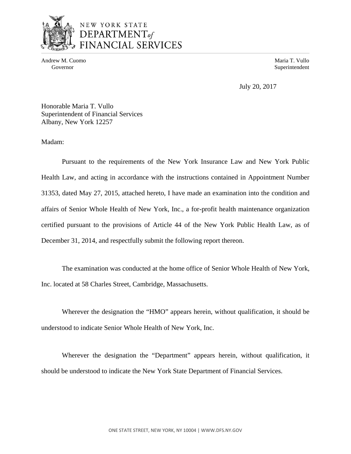

# NEW YORK STATE DEPARTMENTof FINANCIAL SERVICES

Andrew M. Cuomo **Maria T. Vullo** Maria T. Vullo

Governor Superintendent Superintendent Superintendent Superintendent Superintendent Superintendent Superintendent Superintendent Superintendent Superintendent Superintendent Superintendent Superintendent Superintendent Sup

July 20, 2017

Honorable Maria T. Vullo Superintendent of Financial Services Albany, New York 12257

Madam:

Pursuant to the requirements of the New York Insurance Law and New York Public Health Law, and acting in accordance with the instructions contained in Appointment Number 31353, dated May 27, 2015, attached hereto, I have made an examination into the condition and affairs of Senior Whole Health of New York, Inc., a for-profit health maintenance organization certified pursuant to the provisions of Article 44 of the New York Public Health Law, as of December 31, 2014, and respectfully submit the following report thereon.

The examination was conducted at the home office of Senior Whole Health of New York, Inc. located at 58 Charles Street, Cambridge, Massachusetts.

Wherever the designation the "HMO" appears herein, without qualification, it should be understood to indicate Senior Whole Health of New York, Inc.

Wherever the designation the "Department" appears herein, without qualification, it should be understood to indicate the New York State Department of Financial Services.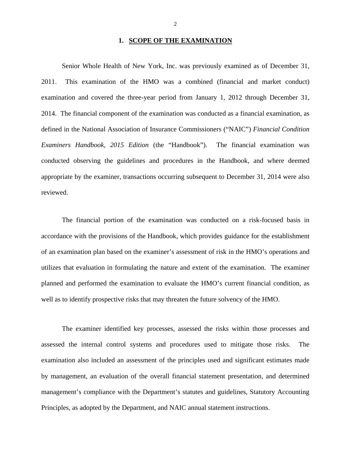# **1. SCOPE OF THE EXAMINATION**

Senior Whole Health of New York, Inc. was previously examined as of December 31, 2011. This examination of the HMO was a combined (financial and market conduct) examination and covered the three-year period from January 1, 2012 through December 31, 2014. The financial component of the examination was conducted as a financial examination, as defined in the National Association of Insurance Commissioners ("NAIC") *Financial Condition Examiners Handbook, 2015 Edition* (the "Handbook"). The financial examination was conducted observing the guidelines and procedures in the Handbook, and where deemed appropriate by the examiner, transactions occurring subsequent to December 31, 2014 were also reviewed.

The financial portion of the examination was conducted on a risk-focused basis in accordance with the provisions of the Handbook, which provides guidance for the establishment of an examination plan based on the examiner's assessment of risk in the HMO's operations and utilizes that evaluation in formulating the nature and extent of the examination. The examiner planned and performed the examination to evaluate the HMO's current financial condition, as well as to identify prospective risks that may threaten the future solvency of the HMO.

The examiner identified key processes, assessed the risks within those processes and assessed the internal control systems and procedures used to mitigate those risks. The examination also included an assessment of the principles used and significant estimates made by management, an evaluation of the overall financial statement presentation, and determined management's compliance with the Department's statutes and guidelines, Statutory Accounting Principles, as adopted by the Department, and NAIC annual statement instructions.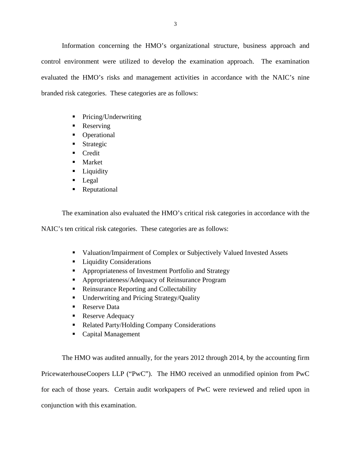Information concerning the HMO's organizational structure, business approach and control environment were utilized to develop the examination approach. The examination evaluated the HMO's risks and management activities in accordance with the NAIC's nine branded risk categories. These categories are as follows:

- Pricing/Underwriting
- Reserving
- Operational
- **Strategic**
- **Credit**
- **Market**
- **Liquidity**
- **Legal**
- Reputational

The examination also evaluated the HMO's critical risk categories in accordance with the

NAIC's ten critical risk categories. These categories are as follows:

- Valuation/Impairment of Complex or Subjectively Valued Invested Assets
- **Liquidity Considerations**
- **Appropriateness of Investment Portfolio and Strategy**
- Appropriateness/Adequacy of Reinsurance Program
- Reinsurance Reporting and Collectability
- Underwriting and Pricing Strategy/Quality
- Reserve Data
- Reserve Adequacy
- Related Party/Holding Company Considerations
- Capital Management

The HMO was audited annually, for the years 2012 through 2014, by the accounting firm PricewaterhouseCoopers LLP ("PwC"). The HMO received an unmodified opinion from PwC for each of those years. Certain audit workpapers of PwC were reviewed and relied upon in conjunction with this examination.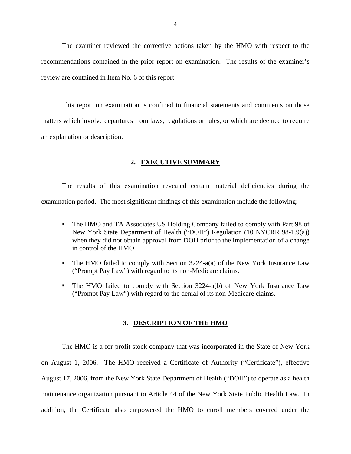The examiner reviewed the corrective actions taken by the HMO with respect to the recommendations contained in the prior report on examination. The results of the examiner's review are contained in Item No. 6 of this report.

This report on examination is confined to financial statements and comments on those matters which involve departures from laws, regulations or rules, or which are deemed to require an explanation or description.

### **2. EXECUTIVE SUMMARY**

The results of this examination revealed certain material deficiencies during the examination period. The most significant findings of this examination include the following:

- The HMO and TA Associates US Holding Company failed to comply with Part 98 of New York State Department of Health ("DOH") Regulation (10 NYCRR 98-1.9(a)) when they did not obtain approval from DOH prior to the implementation of a change in control of the HMO.
- The HMO failed to comply with Section 3224-a(a) of the New York Insurance Law ("Prompt Pay Law") with regard to its non-Medicare claims.
- The HMO failed to comply with Section 3224-a(b) of New York Insurance Law ("Prompt Pay Law") with regard to the denial of its non-Medicare claims.

### **3. DESCRIPTION OF THE HMO**

The HMO is a for-profit stock company that was incorporated in the State of New York on August 1, 2006. The HMO received a Certificate of Authority ("Certificate"), effective August 17, 2006, from the New York State Department of Health ("DOH") to operate as a health maintenance organization pursuant to Article 44 of the New York State Public Health Law. In addition, the Certificate also empowered the HMO to enroll members covered under the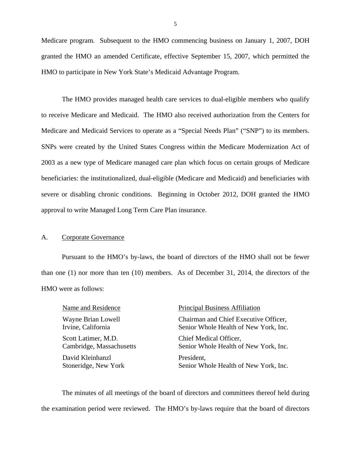Medicare program. Subsequent to the HMO commencing business on January 1, 2007, DOH granted the HMO an amended Certificate, effective September 15, 2007, which permitted the HMO to participate in New York State's Medicaid Advantage Program.

Medicare and Medicaid Services to operate as a "Special Needs Plan" ("SNP") to its members. The HMO provides managed health care services to dual-eligible members who qualify to receive Medicare and Medicaid. The HMO also received authorization from the Centers for SNPs were created by the United States Congress within the Medicare Modernization Act of 2003 as a new type of Medicare managed care plan which focus on certain groups of Medicare beneficiaries: the institutionalized, dual-eligible (Medicare and Medicaid) and beneficiaries with severe or disabling chronic conditions. Beginning in October 2012, DOH granted the HMO approval to write Managed Long Term Care Plan insurance.

# A. Corporate Governance

Pursuant to the HMO's by-laws, the board of directors of the HMO shall not be fewer than one (1) nor more than ten (10) members. As of December 31, 2014, the directors of the HMO were as follows:

| Name and Residence       | <b>Principal Business Affiliation</b> |
|--------------------------|---------------------------------------|
| Wayne Brian Lowell       | Chairman and Chief Executive Officer, |
| Irvine, California       | Senior Whole Health of New York, Inc. |
| Scott Latimer, M.D.      | Chief Medical Officer,                |
| Cambridge, Massachusetts | Senior Whole Health of New York, Inc. |
| David Kleinhanzl         | President,                            |
| Stoneridge, New York     | Senior Whole Health of New York, Inc. |

The minutes of all meetings of the board of directors and committees thereof held during the examination period were reviewed. The HMO's by-laws require that the board of directors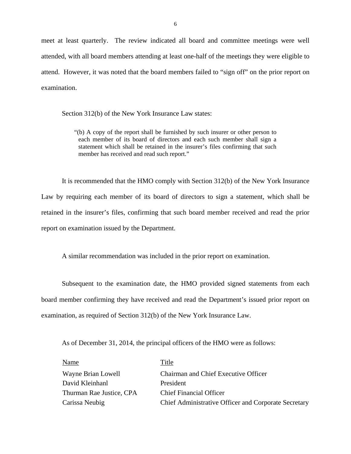meet at least quarterly. The review indicated all board and committee meetings were well attended, with all board members attending at least one-half of the meetings they were eligible to attend. However, it was noted that the board members failed to "sign off" on the prior report on examination.

Section 312(b) of the New York Insurance Law states:

"(b) A copy of the report shall be furnished by such insurer or other person to each member of its board of directors and each such member shall sign a statement which shall be retained in the insurer's files confirming that such member has received and read such report."

It is recommended that the HMO comply with Section 312(b) of the New York Insurance Law by requiring each member of its board of directors to sign a statement, which shall be retained in the insurer's files, confirming that such board member received and read the prior report on examination issued by the Department.

A similar recommendation was included in the prior report on examination.

Subsequent to the examination date, the HMO provided signed statements from each board member confirming they have received and read the Department's issued prior report on examination, as required of Section 312(b) of the New York Insurance Law.

As of December 31, 2014, the principal officers of the HMO were as follows:

| Name                     | Title                                                |
|--------------------------|------------------------------------------------------|
| Wayne Brian Lowell       | Chairman and Chief Executive Officer                 |
| David Kleinhanl          | President                                            |
| Thurman Rae Justice, CPA | <b>Chief Financial Officer</b>                       |
| Carissa Neubig           | Chief Administrative Officer and Corporate Secretary |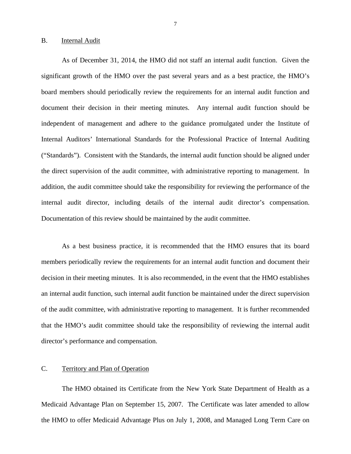#### B. Internal Audit

 internal audit director, including details of the internal audit director's compensation. Documentation of this review should be maintained by the audit committee. As of December 31, 2014, the HMO did not staff an internal audit function. Given the significant growth of the HMO over the past several years and as a best practice, the HMO's board members should periodically review the requirements for an internal audit function and document their decision in their meeting minutes. Any internal audit function should be independent of management and adhere to the guidance promulgated under the Institute of Internal Auditors' International Standards for the Professional Practice of Internal Auditing ("Standards"). Consistent with the Standards, the internal audit function should be aligned under the direct supervision of the audit committee, with administrative reporting to management. In addition, the audit committee should take the responsibility for reviewing the performance of the

As a best business practice, it is recommended that the HMO ensures that its board members periodically review the requirements for an internal audit function and document their decision in their meeting minutes. It is also recommended, in the event that the HMO establishes an internal audit function, such internal audit function be maintained under the direct supervision of the audit committee, with administrative reporting to management. It is further recommended that the HMO's audit committee should take the responsibility of reviewing the internal audit director's performance and compensation.

# C. Territory and Plan of Operation

The HMO obtained its Certificate from the New York State Department of Health as a Medicaid Advantage Plan on September 15, 2007. The Certificate was later amended to allow the HMO to offer Medicaid Advantage Plus on July 1, 2008, and Managed Long Term Care on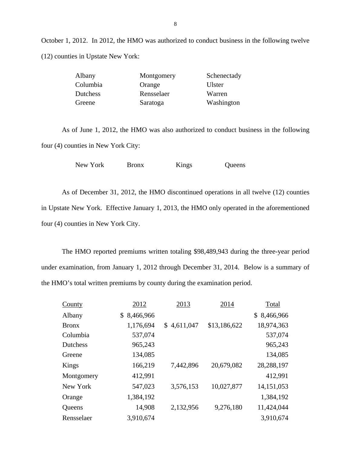October 1, 2012. In 2012, the HMO was authorized to conduct business in the following twelve (12) counties in Upstate New York:

| Albany   | Montgomery | Schenectady |
|----------|------------|-------------|
| Columbia | Orange     | Ulster      |
| Dutchess | Rensselaer | Warren      |
| Greene   | Saratoga   | Washington  |

As of June 1, 2012, the HMO was also authorized to conduct business in the following four (4) counties in New York City:

New York Bronx Kings Queens

As of December 31, 2012, the HMO discontinued operations in all twelve (12) counties in Upstate New York. Effective January 1, 2013, the HMO only operated in the aforementioned four (4) counties in New York City.

The HMO reported premiums written totaling \$98,489,943 during the three-year period under examination, from January 1, 2012 through December 31, 2014. Below is a summary of the HMO's total written premiums by county during the examination period.

| <b>County</b>   | 2012            | 2013        | 2014         | Total           |
|-----------------|-----------------|-------------|--------------|-----------------|
| Albany          | 8,466,966<br>\$ |             |              | 8,466,966<br>\$ |
| <b>Bronx</b>    | 1,176,694       | \$4,611,047 | \$13,186,622 | 18,974,363      |
| Columbia        | 537,074         |             |              | 537,074         |
| <b>Dutchess</b> | 965,243         |             |              | 965,243         |
| Greene          | 134,085         |             |              | 134,085         |
| Kings           | 166,219         | 7,442,896   | 20,679,082   | 28,288,197      |
| Montgomery      | 412,991         |             |              | 412,991         |
| New York        | 547,023         | 3,576,153   | 10,027,877   | 14, 151, 053    |
| Orange          | 1,384,192       |             |              | 1,384,192       |
| Queens          | 14,908          | 2,132,956   | 9,276,180    | 11,424,044      |
| Rensselaer      | 3,910,674       |             |              | 3,910,674       |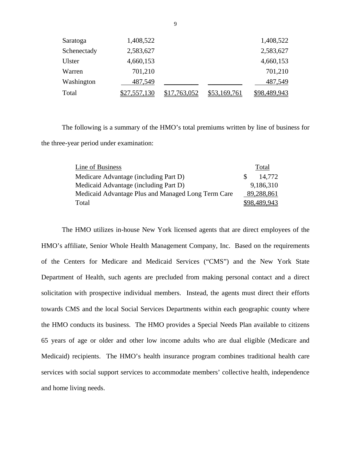| Saratoga    | 1,408,522           |              |                     | 1,408,522    |
|-------------|---------------------|--------------|---------------------|--------------|
| Schenectady | 2,583,627           |              |                     | 2,583,627    |
| Ulster      | 4,660,153           |              |                     | 4,660,153    |
| Warren      | 701,210             |              |                     | 701,210      |
| Washington  | 487,549             |              |                     | 487,549      |
| Total       | <u>\$27,557,130</u> | \$17,763,052 | <u>\$53,169,761</u> | \$98,489,943 |

The following is a summary of the HMO's total premiums written by line of business for the three-year period under examination:

| Line of Business                                   |     | Total        |
|----------------------------------------------------|-----|--------------|
| Medicare Advantage (including Part D)              | -SS | 14.772       |
| Medicaid Advantage (including Part D)              |     | 9,186,310    |
| Medicaid Advantage Plus and Managed Long Term Care |     | 89,288,861   |
| Total                                              |     | \$98,489,943 |

The HMO utilizes in-house New York licensed agents that are direct employees of the HMO's affiliate, Senior Whole Health Management Company, Inc. Based on the requirements of the Centers for Medicare and Medicaid Services ("CMS") and the New York State Department of Health, such agents are precluded from making personal contact and a direct solicitation with prospective individual members. Instead, the agents must direct their efforts towards CMS and the local Social Services Departments within each geographic county where the HMO conducts its business. The HMO provides a Special Needs Plan available to citizens 65 years of age or older and other low income adults who are dual eligible (Medicare and Medicaid) recipients. The HMO's health insurance program combines traditional health care services with social support services to accommodate members' collective health, independence and home living needs.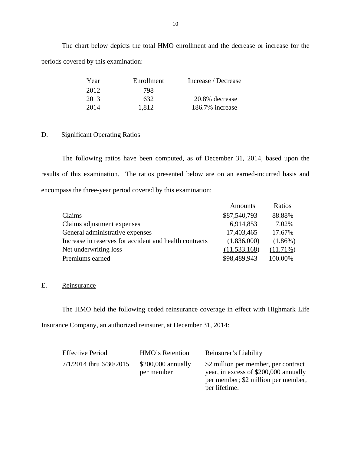The chart below depicts the total HMO enrollment and the decrease or increase for the periods covered by this examination:

| Year | Enrollment | Increase / Decrease |
|------|------------|---------------------|
| 2012 | 798.       |                     |
| 2013 | 632.       | 20.8% decrease      |
| 2014 | 1.812      | 186.7% increase     |

# D. Significant Operating Ratios

The following ratios have been computed, as of December 31, 2014, based upon the results of this examination. The ratios presented below are on an earned-incurred basis and encompass the three-year period covered by this examination:

|                                                        | Amounts        | Ratios      |
|--------------------------------------------------------|----------------|-------------|
| Claims                                                 | \$87,540,793   | 88.88%      |
| Claims adjustment expenses                             | 6,914,853      | 7.02%       |
| General administrative expenses                        | 17,403,465     | 17.67%      |
| Increase in reserves for accident and health contracts | (1,836,000)    | $(1.86\%)$  |
| Net underwriting loss                                  | (11, 533, 168) | $(11.71\%)$ |
| Premiums earned                                        | \$98,489,943   | 100.00%     |

# E. Reinsurance

The HMO held the following ceded reinsurance coverage in effect with Highmark Life Insurance Company, an authorized reinsurer, at December 31, 2014:

| <b>Effective Period</b>   | HMO's Retention                   | Reinsurer's Liability                                                                                                                 |
|---------------------------|-----------------------------------|---------------------------------------------------------------------------------------------------------------------------------------|
| $7/1/2014$ thru 6/30/2015 | $$200,000$ annually<br>per member | \$2 million per member, per contract<br>year, in excess of \$200,000 annually<br>per member; \$2 million per member,<br>per lifetime. |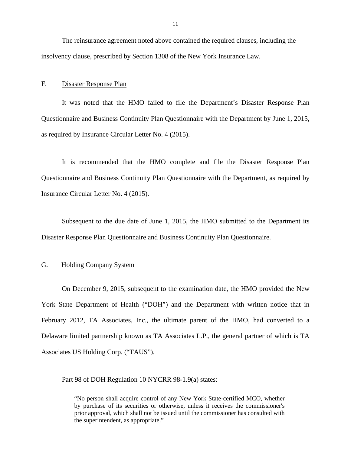The reinsurance agreement noted above contained the required clauses, including the insolvency clause, prescribed by Section 1308 of the New York Insurance Law.

### F. Disaster Response Plan

It was noted that the HMO failed to file the Department's Disaster Response Plan Questionnaire and Business Continuity Plan Questionnaire with the Department by June 1, 2015, as required by Insurance Circular Letter No. 4 (2015).

It is recommended that the HMO complete and file the Disaster Response Plan Questionnaire and Business Continuity Plan Questionnaire with the Department, as required by Insurance Circular Letter No. 4 (2015).

Subsequent to the due date of June 1, 2015, the HMO submitted to the Department its Disaster Response Plan Questionnaire and Business Continuity Plan Questionnaire.

# G. Holding Company System

On December 9, 2015, subsequent to the examination date, the HMO provided the New York State Department of Health ("DOH") and the Department with written notice that in February 2012, TA Associates, Inc., the ultimate parent of the HMO, had converted to a Delaware limited partnership known as TA Associates L.P., the general partner of which is TA Associates US Holding Corp. ("TAUS").

# Part 98 of DOH Regulation 10 NYCRR 98-1.9(a) states:

"No person shall acquire control of any New York State-certified MCO, whether by purchase of its securities or otherwise, unless it receives the commissioner's prior approval, which shall not be issued until the commissioner has consulted with the superintendent, as appropriate."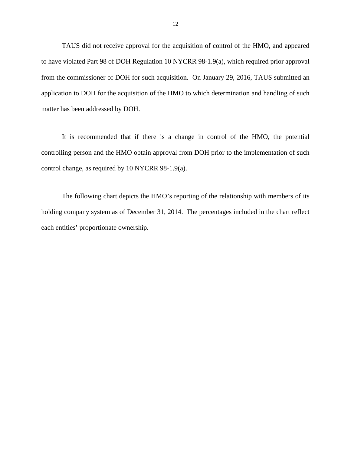TAUS did not receive approval for the acquisition of control of the HMO, and appeared to have violated Part 98 of DOH Regulation 10 NYCRR 98-1.9(a), which required prior approval from the commissioner of DOH for such acquisition. On January 29, 2016, TAUS submitted an application to DOH for the acquisition of the HMO to which determination and handling of such matter has been addressed by DOH.

It is recommended that if there is a change in control of the HMO, the potential controlling person and the HMO obtain approval from DOH prior to the implementation of such control change, as required by 10 NYCRR 98-1.9(a).

The following chart depicts the HMO's reporting of the relationship with members of its holding company system as of December 31, 2014. The percentages included in the chart reflect each entities' proportionate ownership.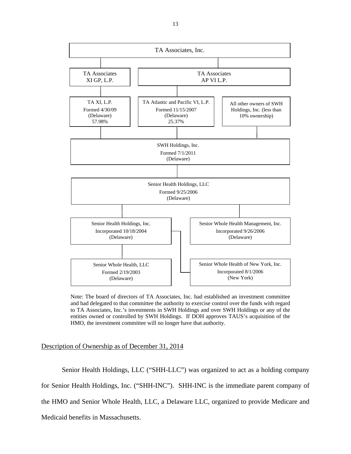

Note: The board of directors of TA Associates, Inc. had established an investment committee and had delegated to that committee the authority to exercise control over the funds with regard to TA Associates, Inc.'s investments in SWH Holdings and over SWH Holdings or any of the entities owned or controlled by SWH Holdings. If DOH approves TAUS's acquisition of the HMO, the investment committee will no longer have that authority.

### Description of Ownership as of December 31, 2014

Senior Health Holdings, LLC ("SHH-LLC") was organized to act as a holding company for Senior Health Holdings, Inc. ("SHH-INC"). SHH-INC is the immediate parent company of the HMO and Senior Whole Health, LLC, a Delaware LLC, organized to provide Medicare and Medicaid benefits in Massachusetts.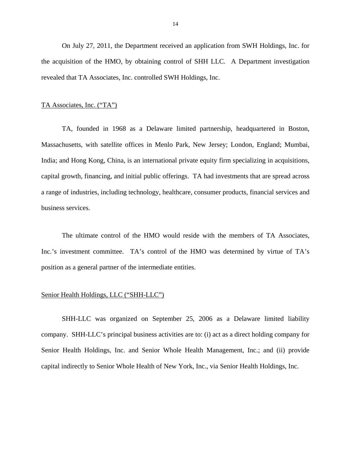On July 27, 2011, the Department received an application from SWH Holdings, Inc. for the acquisition of the HMO, by obtaining control of SHH LLC. A Department investigation revealed that TA Associates, Inc. controlled SWH Holdings, Inc.

### TA Associates, Inc. ("TA")

TA, founded in 1968 as a Delaware limited partnership, headquartered in Boston, Massachusetts, with satellite offices in Menlo Park, New Jersey; London, England; Mumbai, India; and Hong Kong, China, is an international private equity firm specializing in acquisitions, capital growth, financing, and initial public offerings. TA had investments that are spread across a range of industries, including technology, healthcare, consumer products, financial services and business services.

The ultimate control of the HMO would reside with the members of TA Associates, Inc.'s investment committee. TA's control of the HMO was determined by virtue of TA's position as a general partner of the intermediate entities.

# Senior Health Holdings, LLC ("SHH-LLC")

SHH-LLC was organized on September 25, 2006 as a Delaware limited liability company. SHH-LLC's principal business activities are to: (i) act as a direct holding company for Senior Health Holdings, Inc. and Senior Whole Health Management, Inc.; and (ii) provide capital indirectly to Senior Whole Health of New York, Inc., via Senior Health Holdings, Inc.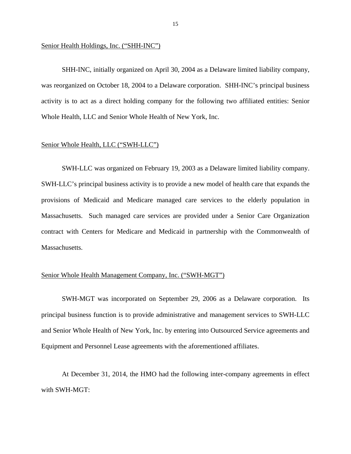#### Senior Health Holdings, Inc. ("SHH-INC")

SHH-INC, initially organized on April 30, 2004 as a Delaware limited liability company, was reorganized on October 18, 2004 to a Delaware corporation. SHH-INC's principal business activity is to act as a direct holding company for the following two affiliated entities: Senior Whole Health, LLC and Senior Whole Health of New York, Inc.

# Senior Whole Health, LLC ("SWH-LLC")

SWH-LLC was organized on February 19, 2003 as a Delaware limited liability company. SWH-LLC's principal business activity is to provide a new model of health care that expands the provisions of Medicaid and Medicare managed care services to the elderly population in Massachusetts. Such managed care services are provided under a Senior Care Organization contract with Centers for Medicare and Medicaid in partnership with the Commonwealth of Massachusetts.

### Senior Whole Health Management Company, Inc. ("SWH-MGT")

SWH-MGT was incorporated on September 29, 2006 as a Delaware corporation. Its principal business function is to provide administrative and management services to SWH-LLC and Senior Whole Health of New York, Inc. by entering into Outsourced Service agreements and Equipment and Personnel Lease agreements with the aforementioned affiliates.

At December 31, 2014, the HMO had the following inter-company agreements in effect with SWH-MGT: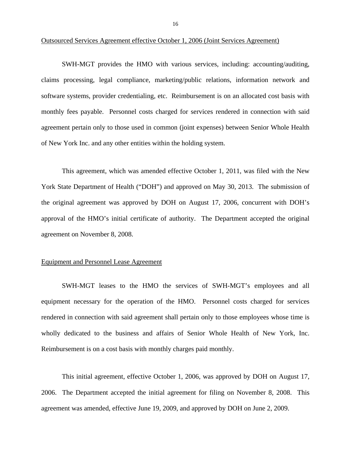#### Outsourced Services Agreement effective October 1, 2006 (Joint Services Agreement)

SWH-MGT provides the HMO with various services, including: accounting/auditing, claims processing, legal compliance, marketing/public relations, information network and software systems, provider credentialing, etc. Reimbursement is on an allocated cost basis with monthly fees payable. Personnel costs charged for services rendered in connection with said agreement pertain only to those used in common (joint expenses) between Senior Whole Health of New York Inc. and any other entities within the holding system.

This agreement, which was amended effective October 1, 2011, was filed with the New York State Department of Health ("DOH") and approved on May 30, 2013. The submission of the original agreement was approved by DOH on August 17, 2006, concurrent with DOH's approval of the HMO's initial certificate of authority. The Department accepted the original agreement on November 8, 2008.

### Equipment and Personnel Lease Agreement

SWH-MGT leases to the HMO the services of SWH-MGT's employees and all equipment necessary for the operation of the HMO. Personnel costs charged for services rendered in connection with said agreement shall pertain only to those employees whose time is wholly dedicated to the business and affairs of Senior Whole Health of New York, Inc. Reimbursement is on a cost basis with monthly charges paid monthly.

This initial agreement, effective October 1, 2006, was approved by DOH on August 17, 2006. The Department accepted the initial agreement for filing on November 8, 2008. This agreement was amended, effective June 19, 2009, and approved by DOH on June 2, 2009.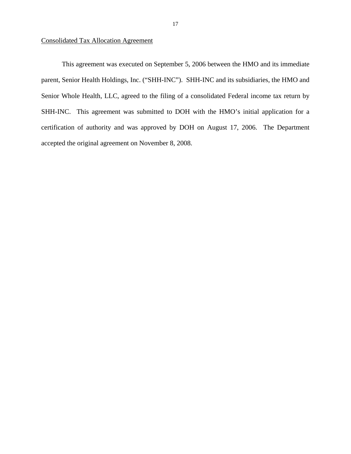# Consolidated Tax Allocation Agreement

This agreement was executed on September 5, 2006 between the HMO and its immediate parent, Senior Health Holdings, Inc. ("SHH-INC"). SHH-INC and its subsidiaries, the HMO and Senior Whole Health, LLC, agreed to the filing of a consolidated Federal income tax return by SHH-INC. This agreement was submitted to DOH with the HMO's initial application for a certification of authority and was approved by DOH on August 17, 2006. The Department accepted the original agreement on November 8, 2008.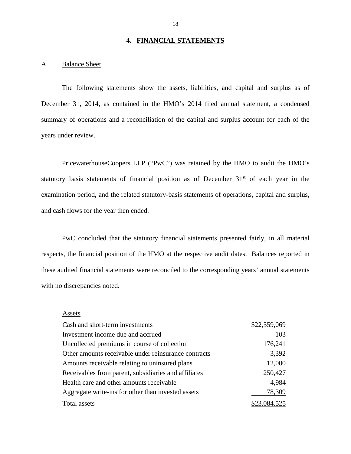# **4. FINANCIAL STATEMENTS**

# A. Balance Sheet

The following statements show the assets, liabilities, and capital and surplus as of December 31, 2014, as contained in the HMO's 2014 filed annual statement, a condensed summary of operations and a reconciliation of the capital and surplus account for each of the years under review.

PricewaterhouseCoopers LLP ("PwC") was retained by the HMO to audit the HMO's statutory basis statements of financial position as of December 31<sup>st</sup> of each year in the examination period, and the related statutory-basis statements of operations, capital and surplus, and cash flows for the year then ended.

PwC concluded that the statutory financial statements presented fairly, in all material respects, the financial position of the HMO at the respective audit dates. Balances reported in these audited financial statements were reconciled to the corresponding years' annual statements with no discrepancies noted.

#### Assets

| Cash and short-term investments                      | \$22,559,069 |
|------------------------------------------------------|--------------|
| Investment income due and accrued                    | 103          |
| Uncollected premiums in course of collection         | 176,241      |
| Other amounts receivable under reinsurance contracts | 3,392        |
| Amounts receivable relating to uninsured plans       | 12,000       |
| Receivables from parent, subsidiaries and affiliates | 250,427      |
| Health care and other amounts receivable             | 4,984        |
| Aggregate write-ins for other than invested assets   | 78,309       |
| Total assets                                         | \$23,084,525 |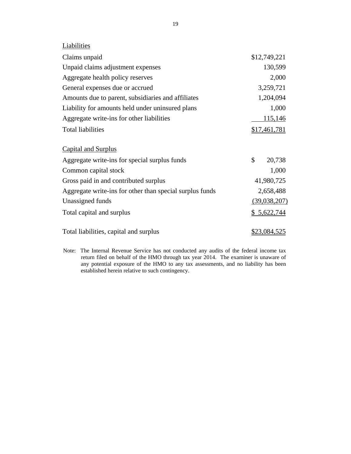| Liabilities                                              |                     |
|----------------------------------------------------------|---------------------|
| Claims unpaid                                            | \$12,749,221        |
| Unpaid claims adjustment expenses                        | 130,599             |
| Aggregate health policy reserves                         | 2,000               |
| General expenses due or accrued                          | 3,259,721           |
| Amounts due to parent, subsidiaries and affiliates       | 1,204,094           |
| Liability for amounts held under uninsured plans         | 1,000               |
| Aggregate write-ins for other liabilities                | <u>115,146</u>      |
| <b>Total liabilities</b>                                 | <u>\$17,461,781</u> |
| <b>Capital and Surplus</b>                               |                     |
| Aggregate write-ins for special surplus funds            | \$<br>20,738        |
| Common capital stock                                     | 1,000               |
| Gross paid in and contributed surplus                    | 41,980,725          |
| Aggregate write-ins for other than special surplus funds | 2,658,488           |
| Unassigned funds                                         | (39,038,207)        |
| Total capital and surplus                                | \$5,622,744         |
| Total liabilities, capital and surplus                   | \$23,084,525        |

Note: The Internal Revenue Service has not conducted any audits of the federal income tax return filed on behalf of the HMO through tax year 2014. The examiner is unaware of any potential exposure of the HMO to any tax assessments, and no liability has been established herein relative to such contingency.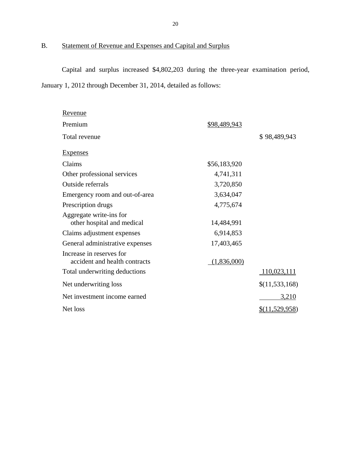# B. Statement of Revenue and Expenses and Capital and Surplus

Capital and surplus increased \$4,802,203 during the three-year examination period, January 1, 2012 through December 31, 2014, detailed as follows:

| <u>Revenue</u>                                            |                     |                |
|-----------------------------------------------------------|---------------------|----------------|
| Premium                                                   | <u>\$98,489,943</u> |                |
| Total revenue                                             |                     | \$98,489,943   |
| <b>Expenses</b>                                           |                     |                |
| Claims                                                    | \$56,183,920        |                |
| Other professional services                               | 4,741,311           |                |
| Outside referrals                                         | 3,720,850           |                |
| Emergency room and out-of-area                            | 3,634,047           |                |
| Prescription drugs                                        | 4,775,674           |                |
| Aggregate write-ins for<br>other hospital and medical     | 14,484,991          |                |
| Claims adjustment expenses                                | 6,914,853           |                |
| General administrative expenses                           | 17,403,465          |                |
| Increase in reserves for<br>accident and health contracts | (1,836,000)         |                |
| Total underwriting deductions                             |                     | 110,023,111    |
| Net underwriting loss                                     |                     | \$(11,533,168) |
| Net investment income earned                              |                     | <u>3,210</u>   |
| Net loss                                                  |                     | \$(11,529,958) |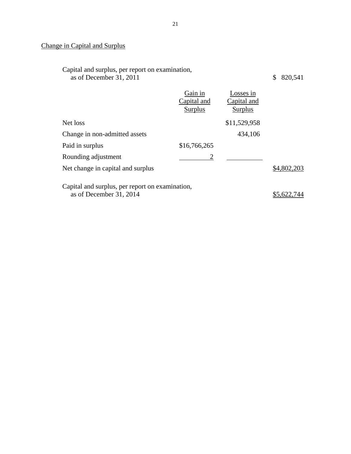# Change in Capital and Surplus

| Capital and surplus, per report on examination, |           |
|-------------------------------------------------|-----------|
| as of December 31, 2011                         | \$820,541 |

|                                                                            | Gain in<br>Capital and<br>Surplus | Losses in<br>Capital and<br>Surplus |             |
|----------------------------------------------------------------------------|-----------------------------------|-------------------------------------|-------------|
| Net loss                                                                   |                                   | \$11,529,958                        |             |
| Change in non-admitted assets                                              |                                   | 434,106                             |             |
| Paid in surplus                                                            | \$16,766,265                      |                                     |             |
| Rounding adjustment                                                        | $\overline{2}$                    |                                     |             |
| Net change in capital and surplus                                          |                                   |                                     | \$4,802,203 |
| Capital and surplus, per report on examination,<br>as of December 31, 2014 |                                   |                                     | \$5,622     |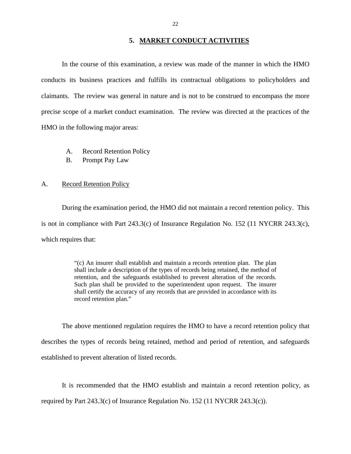### **5. MARKET CONDUCT ACTIVITIES**

In the course of this examination, a review was made of the manner in which the HMO conducts its business practices and fulfills its contractual obligations to policyholders and claimants. The review was general in nature and is not to be construed to encompass the more precise scope of a market conduct examination. The review was directed at the practices of the HMO in the following major areas:

- A. Record Retention Policy
- B. Prompt Pay Law

# A. Record Retention Policy

During the examination period, the HMO did not maintain a record retention policy. This is not in compliance with Part 243.3(c) of Insurance Regulation No. 152 (11 NYCRR 243.3(c), which requires that:

> "(c) An insurer shall establish and maintain a records retention plan. The plan shall include a description of the types of records being retained, the method of retention, and the safeguards established to prevent alteration of the records. Such plan shall be provided to the superintendent upon request. The insurer shall certify the accuracy of any records that are provided in accordance with its record retention plan."

The above mentioned regulation requires the HMO to have a record retention policy that describes the types of records being retained, method and period of retention, and safeguards established to prevent alteration of listed records.

It is recommended that the HMO establish and maintain a record retention policy, as required by Part 243.3(c) of Insurance Regulation No. 152 (11 NYCRR 243.3(c)).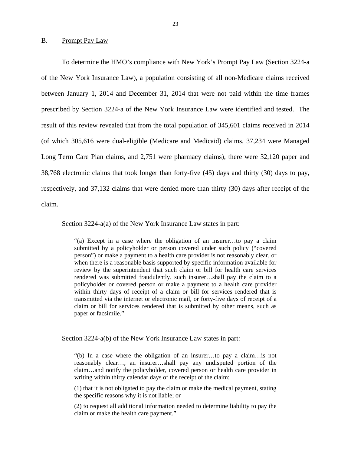#### B. Prompt Pay Law

To determine the HMO's compliance with New York's Prompt Pay Law (Section 3224-a of the New York Insurance Law), a population consisting of all non-Medicare claims received between January 1, 2014 and December 31, 2014 that were not paid within the time frames prescribed by Section 3224-a of the New York Insurance Law were identified and tested. The result of this review revealed that from the total population of 345,601 claims received in 2014 (of which 305,616 were dual-eligible (Medicare and Medicaid) claims, 37,234 were Managed Long Term Care Plan claims, and 2,751 were pharmacy claims), there were 32,120 paper and 38,768 electronic claims that took longer than forty-five (45) days and thirty (30) days to pay, respectively, and 37,132 claims that were denied more than thirty (30) days after receipt of the claim.

Section 3224-a(a) of the New York Insurance Law states in part:

"(a) Except in a case where the obligation of an insurer…to pay a claim submitted by a policyholder or person covered under such policy ("covered person") or make a payment to a health care provider is not reasonably clear, or when there is a reasonable basis supported by specific information available for review by the superintendent that such claim or bill for health care services rendered was submitted fraudulently, such insurer…shall pay the claim to a policyholder or covered person or make a payment to a health care provider within thirty days of receipt of a claim or bill for services rendered that is transmitted via the internet or electronic mail, or forty-five days of receipt of a claim or bill for services rendered that is submitted by other means, such as paper or facsimile."

Section 3224-a(b) of the New York Insurance Law states in part:

"(b) In a case where the obligation of an insurer…to pay a claim…is not reasonably clear…, an insurer…shall pay any undisputed portion of the claim…and notify the policyholder, covered person or health care provider in writing within thirty calendar days of the receipt of the claim:

(1) that it is not obligated to pay the claim or make the medical payment, stating the specific reasons why it is not liable; or

(2) to request all additional information needed to determine liability to pay the claim or make the health care payment."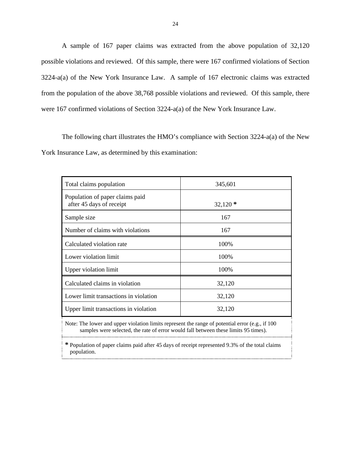A sample of 167 paper claims was extracted from the above population of 32,120 possible violations and reviewed. Of this sample, there were 167 confirmed violations of Section 3224-a(a) of the New York Insurance Law. A sample of 167 electronic claims was extracted from the population of the above 38,768 possible violations and reviewed. Of this sample, there were 167 confirmed violations of Section 3224-a(a) of the New York Insurance Law.

The following chart illustrates the HMO's compliance with Section 3224-a(a) of the New York Insurance Law, as determined by this examination:

| Total claims population                                                                                                                                                                    | 345,601   |  |
|--------------------------------------------------------------------------------------------------------------------------------------------------------------------------------------------|-----------|--|
| Population of paper claims paid<br>after 45 days of receipt                                                                                                                                | $32,120*$ |  |
| Sample size                                                                                                                                                                                | 167       |  |
| Number of claims with violations                                                                                                                                                           | 167       |  |
| Calculated violation rate                                                                                                                                                                  | 100%      |  |
| Lower violation limit                                                                                                                                                                      | 100%      |  |
| Upper violation limit                                                                                                                                                                      | 100%      |  |
| Calculated claims in violation                                                                                                                                                             | 32,120    |  |
| Lower limit transactions in violation                                                                                                                                                      | 32,120    |  |
| Upper limit transactions in violation                                                                                                                                                      | 32,120    |  |
| Note: The lower and upper violation limits represent the range of potential error (e.g., if $100$ )<br>samples were selected, the rate of error would fall between these limits 95 times). |           |  |

**\*** Population of paper claims paid after 45 days of receipt represented 9.3% of the total claims population.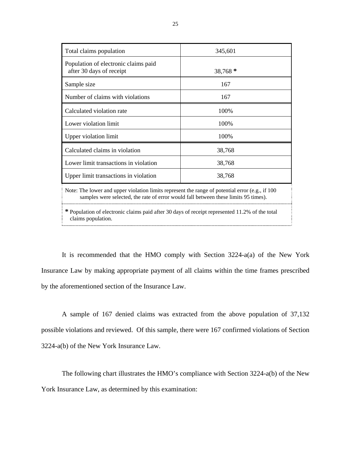| Total claims population                                                                             | 345,601   |  |
|-----------------------------------------------------------------------------------------------------|-----------|--|
| Population of electronic claims paid<br>after 30 days of receipt                                    | $38,768*$ |  |
| Sample size                                                                                         | 167       |  |
| Number of claims with violations                                                                    | 167       |  |
| Calculated violation rate                                                                           | 100%      |  |
| Lower violation limit                                                                               | 100%      |  |
| Upper violation limit                                                                               | 100%      |  |
| Calculated claims in violation                                                                      | 38,768    |  |
| Lower limit transactions in violation                                                               | 38,768    |  |
| Upper limit transactions in violation                                                               | 38,768    |  |
| Note: The lower and upper violation limits represent the range of potential error (e.g., if $100$ ) |           |  |

samples were selected, the rate of error would fall between these limits 95 times).

**\*** Population of electronic claims paid after 30 days of receipt represented 11.2% of the total claims population.

It is recommended that the HMO comply with Section 3224-a(a) of the New York Insurance Law by making appropriate payment of all claims within the time frames prescribed by the aforementioned section of the Insurance Law.

A sample of 167 denied claims was extracted from the above population of 37,132 possible violations and reviewed. Of this sample, there were 167 confirmed violations of Section 3224-a(b) of the New York Insurance Law.

The following chart illustrates the HMO's compliance with Section 3224-a(b) of the New York Insurance Law, as determined by this examination: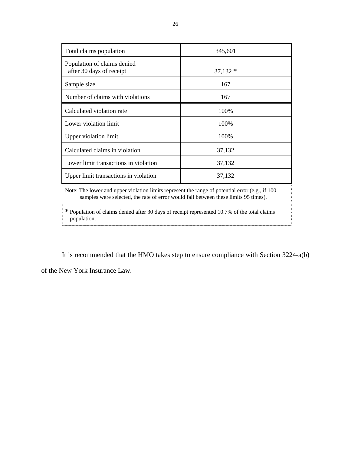| Total claims population                                                                             | 345,601   |  |
|-----------------------------------------------------------------------------------------------------|-----------|--|
| Population of claims denied<br>after 30 days of receipt                                             | $37,132*$ |  |
| Sample size                                                                                         | 167       |  |
| Number of claims with violations                                                                    | 167       |  |
| Calculated violation rate                                                                           | 100%      |  |
| Lower violation limit                                                                               | 100%      |  |
| Upper violation limit                                                                               | 100%      |  |
| Calculated claims in violation                                                                      | 37,132    |  |
| Lower limit transactions in violation                                                               | 37,132    |  |
| Upper limit transactions in violation                                                               | 37,132    |  |
| Note: The lower and upper violation limits represent the range of potential error (e.g., if $100$ ) |           |  |

samples were selected, the rate of error would fall between these limits 95 times).

**\*** Population of claims denied after 30 days of receipt represented 10.7% of the total claims population.

It is recommended that the HMO takes step to ensure compliance with Section 3224-a(b)

of the New York Insurance Law.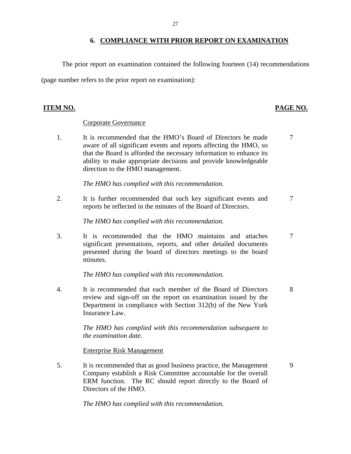# **6. COMPLIANCE WITH PRIOR REPORT ON EXAMINATION**

The prior report on examination contained the following fourteen (14) recommendations

(page number refers to the prior report on examination):

# **ITEM NO. PAGE NO.**

# Corporate Governance

1. It is recommended that the HMO's Board of Directors be made 7 aware of all significant events and reports affecting the HMO, so that the Board is afforded the necessary information to enhance its ability to make appropriate decisions and provide knowledgeable direction to the HMO management.

*The HMO has complied with this recommendation.* 

2. It is further recommended that such key significant events and  $\frac{7}{3}$ reports be reflected in the minutes of the Board of Directors.

*The HMO has complied with this recommendation.* 

3. It is recommended that the HMO maintains and attaches 7 significant presentations, reports, and other detailed documents presented during the board of directors meetings to the board minutes.

*The HMO has complied with this recommendation.* 

4. It is recommended that each member of the Board of Directors 8 review and sign-off on the report on examination issued by the Department in compliance with Section 312(b) of the New York Insurance Law.

> *The HMO has complied with this recommendation subsequent to the examination date.*

Enterprise Risk Management

5. It is recommended that as good business practice, the Management 9 Company establish a Risk Committee accountable for the overall ERM function. The RC should report directly to the Board of Directors of the HMO.

*The HMO has complied with this recommendation.*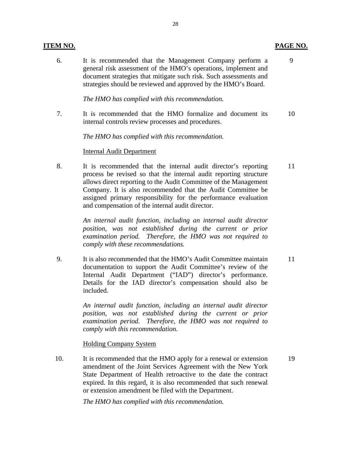# **ITEM NO. PAGE NO.**

6. It is recommended that the Management Company perform a 9 general risk assessment of the HMO's operations, implement and document strategies that mitigate such risk. Such assessments and strategies should be reviewed and approved by the HMO's Board.

*The HMO has complied with this recommendation.* 

7. It is recommended that the HMO formalize and document its 10 internal controls review processes and procedures.

*The HMO has complied with this recommendation.* 

### Internal Audit Department

8. It is recommended that the internal audit director's reporting 11 process be revised so that the internal audit reporting structure allows direct reporting to the Audit Committee of the Management Company. It is also recommended that the Audit Committee be assigned primary responsibility for the performance evaluation and compensation of the internal audit director.

> *An internal audit function, including an internal audit director position, was not established during the current or prior examination period. Therefore, the HMO was not required to comply with these recommendations.*

9. It is also recommended that the HMO's Audit Committee maintain 11 documentation to support the Audit Committee's review of the Internal Audit Department ("IAD") director's performance. Details for the IAD director's compensation should also be included.

> *An internal audit function, including an internal audit director position, was not established during the current or prior examination period. Therefore, the HMO was not required to comply with this recommendation.*

Holding Company System

10. It is recommended that the HMO apply for a renewal or extension 19 amendment of the Joint Services Agreement with the New York State Department of Health retroactive to the date the contract expired. In this regard, it is also recommended that such renewal or extension amendment be filed with the Department.

*The HMO has complied with this recommendation.*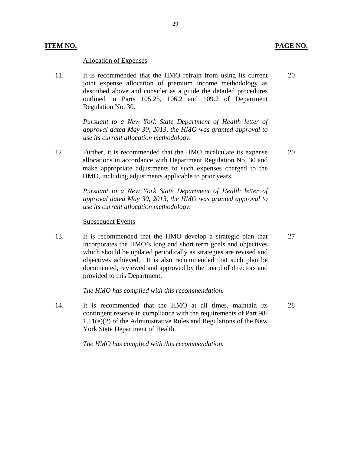# Allocation of Expenses

11. It is recommended that the HMO refrain from using its current joint expense allocation of premium income methodology as described above and consider as a guide the detailed procedures outlined in Parts 105.25, 106.2 and 109.2 of Department Regulation No. 30.

> *Pursuant to a New York State Department of Health letter of approval dated May 30, 2013, the HMO was granted approval to use its current allocation methodology.*

12. Further, it is recommended that the HMO recalculate its expense allocations in accordance with Department Regulation No. 30 and make appropriate adjustments to such expenses charged to the HMO, including adjustments applicable to prior years.

> Pursuant to a New York State Department of Health letter of *approval dated May 30, 2013, the HMO was granted approval to use its current allocation methodology.*

### Subsequent Events

13. It is recommended that the HMO develop a strategic plan that incorporates the HMO's long and short term goals and objectives which should be updated periodically as strategies are revised and objectives achieved. It is also recommended that such plan be documented, reviewed and approved by the board of directors and provided to this Department.

*The HMO has complied with this recommendation.* 

14. It is recommended that the HMO at all times, maintain its contingent reserve in compliance with the requirements of Part 98- 1.11(e)(2) of the Administrative Rules and Regulations of the New York State Department of Health. 28

*The HMO has complied with this recommendation.* 

20

20

27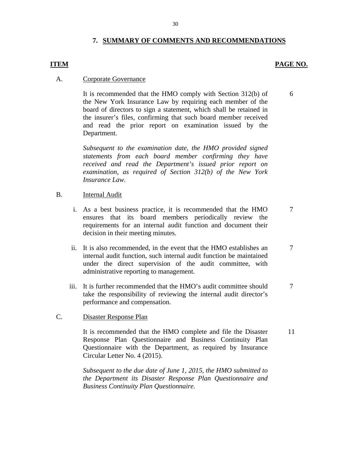# **7. SUMMARY OF COMMENTS AND RECOMMENDATIONS**

### **ITEM** PAGE NO.

6

7

7

### A. Corporate Governance

It is recommended that the HMO comply with Section 312(b) of the New York Insurance Law by requiring each member of the board of directors to sign a statement, which shall be retained in the insurer's files, confirming that such board member received and read the prior report on examination issued by the Department.

*Subsequent to the examination date, the HMO provided signed statements from each board member confirming they have received and read the Department's issued prior report on examination, as required of Section 312(b) of the New York Insurance Law.* 

### B. Internal Audit

- i. As a best business practice, it is recommended that the HMO ensures that its board members periodically review the requirements for an internal audit function and document their decision in their meeting minutes.
- ii. It is also recommended, in the event that the HMO establishes an internal audit function, such internal audit function be maintained under the direct supervision of the audit committee, with administrative reporting to management.
- iii. It is further recommended that the HMO's audit committee should take the responsibility of reviewing the internal audit director's performance and compensation. 7

# C. Disaster Response Plan

It is recommended that the HMO complete and file the Disaster Response Plan Questionnaire and Business Continuity Plan Questionnaire with the Department, as required by Insurance Circular Letter No. 4 (2015). 11

*Subsequent to the due date of June 1, 2015, the HMO submitted to the Department its Disaster Response Plan Questionnaire and Business Continuity Plan Questionnaire.* 

30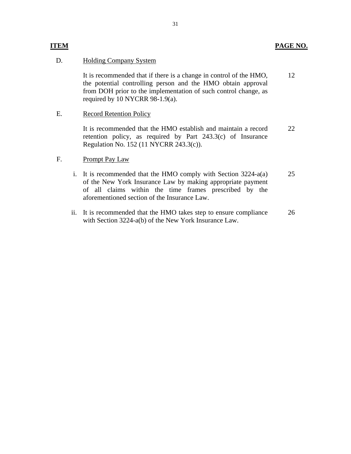# **ITEM PAGE NO.**

# D. Holding Company System

It is recommended that if there is a change in control of the HMO, the potential controlling person and the HMO obtain approval from DOH prior to the implementation of such control change, as required by 10 NYCRR 98-1.9(a). 12

# E. Record Retention Policy

It is recommended that the HMO establish and maintain a record retention policy, as required by Part 243.3(c) of Insurance Regulation No. 152 (11 NYCRR 243.3(c)). 22

# F. Prompt Pay Law

- i. It is recommended that the HMO comply with Section 3224-a(a) of the New York Insurance Law by making appropriate payment of all claims within the time frames prescribed by the aforementioned section of the Insurance Law. 25
- ii. It is recommended that the HMO takes step to ensure compliance with Section 3224-a(b) of the New York Insurance Law. 26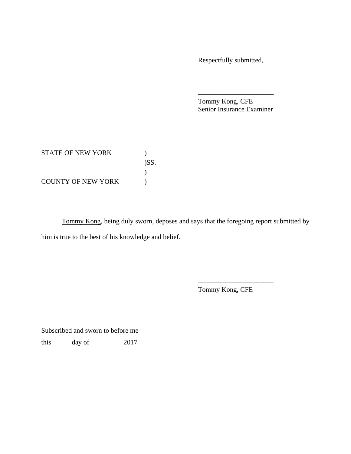Respectfully submitted,

Tommy Kong, CFE Senior Insurance Examiner

\_\_\_\_\_\_\_\_\_\_\_\_\_\_\_\_\_\_\_\_\_\_

| <b>STATE OF NEW YORK</b>  |         |
|---------------------------|---------|
|                           | $)$ SS. |
|                           |         |
| <b>COUNTY OF NEW YORK</b> |         |

Tommy Kong, being duly sworn, deposes and says that the foregoing report submitted by him is true to the best of his knowledge and belief.

Tommy Kong, CFE

\_\_\_\_\_\_\_\_\_\_\_\_\_\_\_\_\_\_\_\_\_\_

Subscribed and sworn to before me

this \_\_\_\_\_ day of \_\_\_\_\_\_\_\_\_ 2017